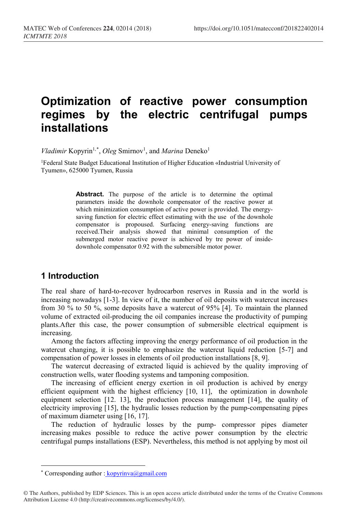# **Optimization of reactive power consumption regimes by the electric centrifugal pumps installations**

Vladimir Kopyrin<sup>1,[\\*](#page-0-0)</sup>, Oleg Smirnov<sup>1</sup>, and *Marina* Deneko<sup>1</sup>

1Federal State Budget Educational Institution of Higher Education «Industrial University of Tyumen», 625000 Tyumen, Russia

> **Abstract.** The purpose of the article is to determine the optimal parameters inside the downhole compensator of the reactive power at which minimization consumption of active power is provided. The energysaving function for electric effect estimating with the use of the downhole compensator is propoused. Surfacing energy-saving functions are received.Their analysis showed that minimal consumption of the submerged motor reactive power is achieved by tre power of insidedownhole compensator 0.92 with the submersible motor power.

## **1 Introduction**

The real share of hard-to-recover hydrocarbon reserves in Russia and in the world is increasing nowadays [1-3]. In view of it, the number of oil deposits with watercut increases from 30 % to 50 %, some deposits have a watercut of 95% [4]. To maintain the planned volume of extracted oil-producing the oil companies increase the productivity of pumping plants.After this case, the power consumption of submersible electrical equipment is increasing.

Among the factors affecting improving the energy performance of oil production in the watercut changing, it is possible to emphasize the watercut liquid reduction [5-7] and compensation of power losses in elements of oil production installations [8, 9].

The watercut decreasing of extracted liquid is achieved by the quality improving of construction wells, water flooding systems and tamponing composition.

The increasing of efficient energy exertion in oil production is achived by energy efficient equipment with the highest efficiency [10, 11], the optimization in downhole equipment selection [12. 13], the production process management [14], the quality of electricity improving [15], the hydraulic losses reduction by the pump-compensating pipes of maximum diameter using [16, 17].

The reduction of hydraulic losses by the pump- compressor pipes diameter increasing makes possible to reduce the active power consumption by the electric centrifugal pumps installations (ESP). Nevertheless, this method is not applying by most oil

l

<sup>\*</sup> Corresponding author : kopyrinva@gmail.com

<span id="page-0-0"></span><sup>©</sup> The Authors, published by EDP Sciences. This is an open access article distributed under the terms of the Creative Commons Attribution License 4.0 (http://creativecommons.org/licenses/by/4.0/).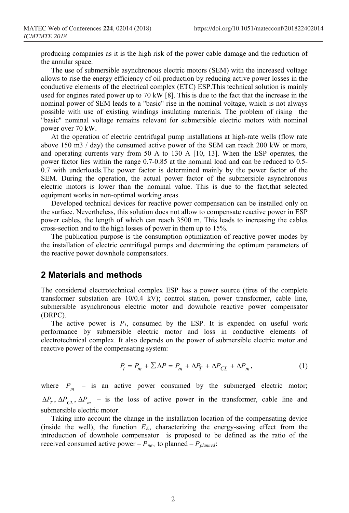producing companies as it is the high risk of the power cable damage and the reduction of the annular space.

The use of submersible asynchronous electric motors (SEM) with the increased voltage allows to rise the energy efficiency of oil production by reducing active power losses in the conductive elements of the electrical complex (ETC) ESP.This technical solution is mainly used for engines rated power up to 70 kW [8]. This is due to the fact that the increase in the nominal power of SEM leads to a "basic" rise in the nominal voltage, which is not always possible with use of existing windings insulating materials. The problem of rising the "basic" nominal voltage remains relevant for submersible electric motors with nominal power over 70 kW.

At the operation of electric centrifugal pump installations at high-rate wells (flow rate above 150 m3 / day) the consumed active power of the SEM can reach 200 kW or more, and operating currents vary from 50 A to 130 A [10, 13]. When the ESP operates, the power factor lies within the range 0.7-0.85 at the nominal load and can be reduced to 0.5- 0.7 with underloads.The power factor is determined mainly by the power factor of the SEM. During the operation, the actual power factor of the submersible asynchronous electric motors is lower than the nominal value. This is due to the fact,that selected equipment works in non-optimal working areas.

Developed technical devices for reactive power compensation can be installed only on the surface. Nevertheless, this solution does not allow to compensate reactive power in ESP power cables, the length of which can reach 3500 m. This leads to increasing the cables cross-section and to the high losses of power in them up to 15%.

The publication purpose is the consumption optimization of reactive power modes by the installation of electric centrifugal pumps and determining the optimum parameters of the reactive power downhole compensators.

#### **2 Materials and methods**

The considered electrotechnical complex ESP has a power source (tires of the complete transformer substation are 10/0.4 kV); control station, power transformer, cable line, submersible asynchronous electric motor and downhole reactive power compensator (DRPC).

The active power is *Рi*, consumed by the ESP. It is expended on useful work performance by submersible electric motor and loss in conductive elements of electrotechnical complex. It also depends on the power of submersible electric motor and reactive power of the compensating system:

$$
P_i = P_m + \sum \Delta P = P_m + \Delta P_T + \Delta P_{CL} + \Delta P_m, \qquad (1)
$$

where  $P_m$  – is an active power consumed by the submerged electric motor;  $\Delta P_T$ ,  $\Delta P_{CI}$ ,  $\Delta P_m$  – is the loss of active power in the transformer, cable line and submersible electric motor.

Taking into account the change in the installation location of the compensating device (inside the well), the function  $E<sub>E</sub>$ , characterizing the energy-saving effect from the introduction of downhole compensator is proposed to be defined as the ratio of the received consumed active power –  $P_{new}$  to planned –  $P_{planned}$ :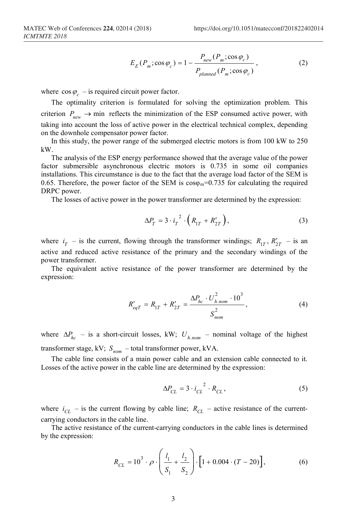$$
E_E(P_m; \cos \varphi_c) = 1 - \frac{P_{new}(P_m; \cos \varphi_c)}{P_{planned}(P_m; \cos \varphi_c)},
$$
\n(2)

where  $\cos \varphi$  – is required circuit power factor.

The optimality criterion is formulated for solving the optimization problem. This criterion  $P_{new} \rightarrow \text{min}$  reflects the minimization of the ESP consumed active power, with taking into account the loss of active power in the electrical technical complex, depending on the downhole compensator power factor.

In this study, the power range of the submerged electric motors is from 100 kW to 250 kW.

The analysis of the ESP energy performance showed that the average value of the power factor submersible asynchronous electric motors is 0.735 in some oil companies installations. This circumstance is due to the fact that the average load factor of the SEM is 0.65. Therefore, the power factor of the SEM is  $cos\varphi_m=0.735$  for calculating the required DRPC power.

The losses of active power in the power transformer are determined by the expression:

$$
\Delta P_T = 3 \cdot i_T^2 \cdot \left( R_{1T} + R'_{2T} \right),\tag{3}
$$

where  $i_T$  – is the current, flowing through the transformer windings;  $R_{1T}$ ,  $R'_{2T}$  – is an active and reduced active resistance of the primary and the secondary windings of the power transformer.

The equivalent active resistance of the power transformer are determined by the expression:

$$
R'_{eqT} = R_{1T} + R'_{2T} = \frac{\Delta P_{hc} \cdot U_{h,nom}^2 \cdot 10^3}{S_{nom}^2},
$$
 (4)

where  $\Delta P_{hc}$  – is a short-circuit losses, kW;  $U_{h,nom}$  – nominal voltage of the highest transformer stage, kV;  $S_{nom}$  – total transformer power, kVA.

The cable line consists of a main power cable and an extension cable connected to it. Losses of the active power in the cable line are determined by the expression:

$$
\Delta P_{CL} = 3 \cdot i_{CL}^2 \cdot R_{CL},\tag{5}
$$

where  $i_{CL}$  – is the current flowing by cable line;  $R_{CL}$  – active resistance of the currentcarrying conductors in the cable line.

The active resistance of the current-carrying conductors in the cable lines is determined by the expression:

$$
R_{CL} = 10^3 \cdot \rho \cdot \left(\frac{l_1}{S_1} + \frac{l_2}{S_2}\right) \cdot \left[1 + 0.004 \cdot (T - 20)\right],\tag{6}
$$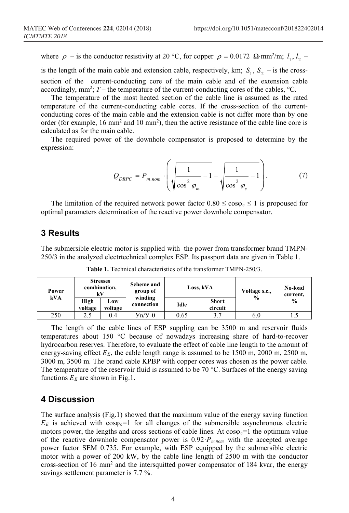where  $\rho$  – is the conductor resistivity at 20 °C, for copper  $\rho = 0.0172 \Omega \cdot \text{mm}^2/\text{m}$ ;  $l_1, l_2$  –

is the length of the main cable and extension cable, respectively, km;  $S_1$ ,  $S_2$  – is the crosssection of the current-conducting core of the main cable and of the extension cable accordingly, mm<sup>2</sup>; T – the temperature of the current-conducting cores of the cables, <sup>o</sup>C.

The temperature of the most heated section of the cable line is assumed as the rated temperature of the current-conducting cable cores. If the cross-section of the currentconducting cores of the main cable and the extension cable is not differ more than by one order (for example,  $16 \text{ mm}^2$  and  $10 \text{ mm}^2$ ), then the active resistance of the cable line core is calculated as for the main cable.

The required power of the downhole compensator is proposed to determine by the expression:

$$
Q_{DRPC} = P_{m,nom} \cdot \left( \sqrt{\frac{1}{\cos^2 \varphi_m} - 1} - \sqrt{\frac{1}{\cos^2 \varphi_c} - 1} \right). \tag{7}
$$

The limitation of the required network power factor  $0.80 \le \cos \varphi_c \le 1$  is propoused for optimal parameters determination of the reactive power downhole compensator.

#### **3 Results**

The submersible electric motor is supplied with the power from transformer brand TMPN-250/3 in the analyzed electrtechnical complex ESP. Its passport data are given in Table 1.

| Power<br>kVA | <b>Stresses</b><br>combination,<br>kV |                | Scheme and<br>group of<br>winding | Loss, kVA |                         | Voltage s.c.,<br>$\frac{0}{0}$ | No-load<br>current, |
|--------------|---------------------------------------|----------------|-----------------------------------|-----------|-------------------------|--------------------------------|---------------------|
|              | High<br>voltage                       | Low<br>voltage | connection                        | Idle      | <b>Short</b><br>circuit |                                | $\frac{0}{0}$       |
| 250          | 2.5                                   | 0.4            | $y_n/y-0$                         | 0.65      | 3.7                     | 6.0                            | C. I                |

**Table 1.** Technical characteristics of the transformer TMPN-250/3.

The length of the cable lines of ESP suppling can be 3500 m and reservoir fluids temperatures about 150 °C because of nowadays increasing share of hard-to-recover hydrocarbon reserves. Therefore, to evaluate the effect of cable line length to the amount of energy-saving effect  $E_E$ , the cable length range is assumed to be 1500 m, 2000 m, 2500 m, 3000 m, 3500 m. The brand cable KPBP with copper cores was chosen as the power cable. The temperature of the reservoir fluid is assumed to be 70  $^{\circ}$ C. Surfaces of the energy saving functions  $E<sub>E</sub>$  are shown in Fig.1.

#### **4 Discussion**

The surface analysis (Fig.1) showed that the maximum value of the energy saving function  $E<sub>E</sub>$  is achieved with  $cos\varphi$ <sup> $=$ </sup> 1 for all changes of the submersible asynchronous electric motors power, the lengths and cross sections of cable lines. At  $cos\varphi_c=1$  the optimum value of the reactive downhole compensator power is  $0.92 \cdot P_{m,nom}$  with the accepted average power factor SEM 0.735. For example, with ESP equipped by the submersible electric motor with a power of 200 kW, by the cable line length of 2500 m with the conductor cross-section of 16 mm2 and the intersquitted power compensator of 184 kvar, the energy savings settlement parameter is 7.7 %.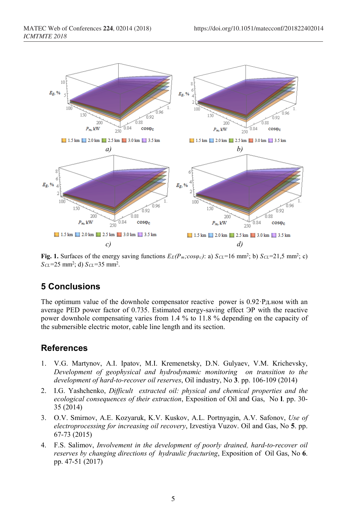

**Fig. 1.** Surfaces of the energy saving functions  $E_E(P_m; cos \varphi_c)$ : a)  $S_{CL} = 16$  mm<sup>2</sup>; b)  $S_{CL} = 21,5$  mm<sup>2</sup>; c) *SCL*=25 mm2; d) *SCL*=35 mm2.

# **5 Conclusions**

The optimum value of the downhole compensator reactive power is 0.92·Pд.ном with an average PED power factor of 0.735. Estimated energy-saving effect ЭР with the reactive power downhole compensating varies from 1.4 % to 11.8 % depending on the capacity of the submersible electric motor, cable line length and its section.

## **References**

- 1. V.G. Martynov, A.I. Ipatov, M.I. Kremenetsky, D.N. Gulyaev, V.M. Krichevsky, *Development of geophysical and hydrodynamic monitoring on transition to the development of hard-to-recover oil reserves*, Oil industry, No **3**. pp. 106-109 (2014)
- 2. I.G. Yashchenko, *Difficult extracted oil: physical and chemical properties and the ecological consequences of their extraction*, Exposition of Oil and Gas, No **l**. pp. 30- 35 (2014)
- 3. O.V. Smirnov, A.E. Kozyaruk, K.V. Kuskov, A.L. Portnyagin, A.V. Safonov, *Use of electroprocessing for increasing oil recovery*, Izvestiya Vuzov. Oil and Gas, No **5**. pp. 67-73 (2015)
- 4. F.S. Salimov, *Involvement in the development of poorly drained, hard-to-recover oil reserves by changing directions of hydraulic fracturing*, Exposition of Oil Gas, No **6**. pp. 47-51 (2017)